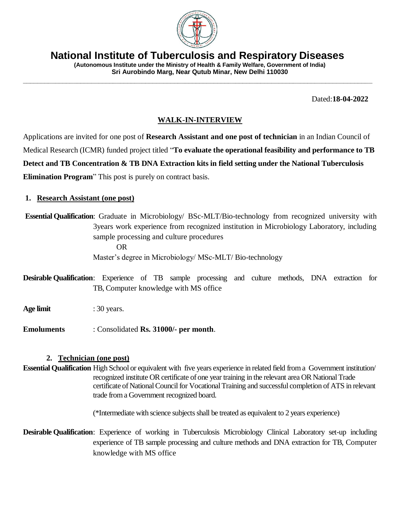

**National Institute of Tuberculosis and Respiratory Diseases**

**\_\_\_\_\_\_\_\_\_\_\_\_\_\_\_\_\_\_\_\_\_\_\_\_\_\_\_\_\_\_\_\_\_\_\_\_\_\_\_\_\_\_\_\_\_\_\_\_\_\_\_\_\_\_\_\_\_\_\_\_\_\_\_\_\_\_\_\_\_\_\_\_\_\_\_\_\_\_\_\_\_\_\_\_\_\_\_\_\_\_\_\_\_\_\_\_\_**

**(Autonomous Institute under the Ministry of Health & Family Welfare, Government of India) Sri Aurobindo Marg, Near Qutub Minar, New Delhi 110030**

Dated:**18-04-2022**

## **WALK-IN-INTERVIEW**

Applications are invited for one post of **Research Assistant and one post of technician** in an Indian Council of Medical Research (ICMR) funded project titled "**To evaluate the operational feasibility and performance to TB Detect and TB Concentration & TB DNA Extraction kits in field setting under the National Tuberculosis Elimination Program**" This post is purely on contract basis.

### **1. Research Assistant (one post)**

**Essential Qualification**: Graduate in Microbiology/ BSc-MLT/Bio-technology from recognized university with 3years work experience from recognized institution in Microbiology Laboratory, including sample processing and culture procedures OR Master's degree in Microbiology/ MSc-MLT/ Bio-technology

**Desirable Qualification**: Experience of TB sample processing and culture methods, DNA extraction for TB, Computer knowledge with MS office

**Age limit** : 30 years.

**Emoluments** : Consolidated **Rs. 31000/- per month**.

### **2. Technician (one post)**

**Essential Qualification** High School or equivalent with five years experience in related field from a Government institution/ recognized institute OR certificate of one year training in the relevant area OR National Trade certificate of National Council for Vocational Training and successful completion of ATS in relevant trade from a Government recognized board.

(\*Intermediate with science subjects shall be treated as equivalent to 2 years experience)

**Desirable Qualification**: Experience of working in Tuberculosis Microbiology Clinical Laboratory set-up including experience of TB sample processing and culture methods and DNA extraction for TB, Computer knowledge with MS office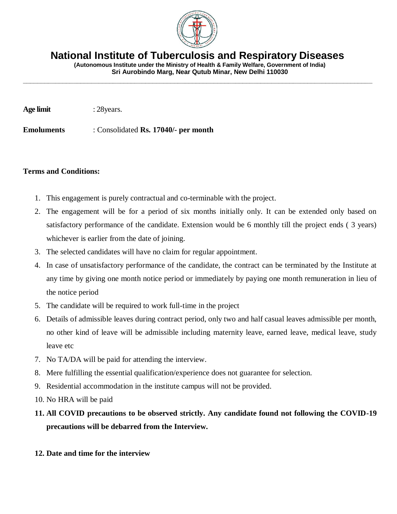

**National Institute of Tuberculosis and Respiratory Diseases**

**\_\_\_\_\_\_\_\_\_\_\_\_\_\_\_\_\_\_\_\_\_\_\_\_\_\_\_\_\_\_\_\_\_\_\_\_\_\_\_\_\_\_\_\_\_\_\_\_\_\_\_\_\_\_\_\_\_\_\_\_\_\_\_\_\_\_\_\_\_\_\_\_\_\_\_\_\_\_\_\_\_\_\_\_\_\_\_\_\_\_\_\_\_\_\_\_\_**

**(Autonomous Institute under the Ministry of Health & Family Welfare, Government of India) Sri Aurobindo Marg, Near Qutub Minar, New Delhi 110030**

**Age limit** : 28 years.

**Emoluments** : Consolidated **Rs. 17040/- per month** 

#### **Terms and Conditions:**

- 1. This engagement is purely contractual and co-terminable with the project.
- 2. The engagement will be for a period of six months initially only. It can be extended only based on satisfactory performance of the candidate. Extension would be 6 monthly till the project ends ( 3 years) whichever is earlier from the date of joining.
- 3. The selected candidates will have no claim for regular appointment.
- 4. In case of unsatisfactory performance of the candidate, the contract can be terminated by the Institute at any time by giving one month notice period or immediately by paying one month remuneration in lieu of the notice period
- 5. The candidate will be required to work full-time in the project
- 6. Details of admissible leaves during contract period, only two and half casual leaves admissible per month, no other kind of leave will be admissible including maternity leave, earned leave, medical leave, study leave etc
- 7. No TA/DA will be paid for attending the interview.
- 8. Mere fulfilling the essential qualification/experience does not guarantee for selection.
- 9. Residential accommodation in the institute campus will not be provided.
- 10. No HRA will be paid

# **11. All COVID precautions to be observed strictly. Any candidate found not following the COVID-19 precautions will be debarred from the Interview.**

**12. Date and time for the interview**